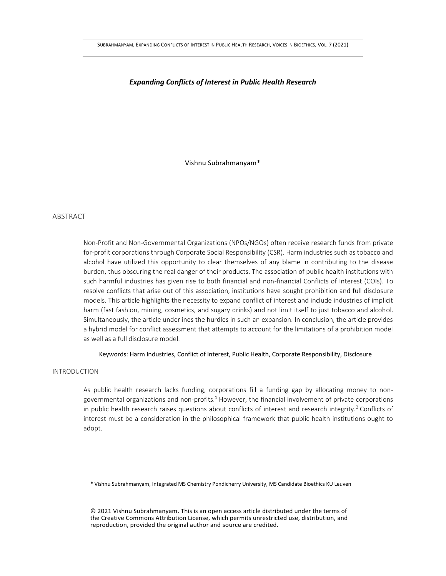## *Expanding Conflicts of Interest in Public Health Research*

Vishnu Subrahmanyam\*

## ABSTRACT

Non-Profit and Non-Governmental Organizations (NPOs/NGOs) often receive research funds from private for-profit corporations through Corporate Social Responsibility (CSR). Harm industries such as tobacco and alcohol have utilized this opportunity to clear themselves of any blame in contributing to the disease burden, thus obscuring the real danger of their products. The association of public health institutions with such harmful industries has given rise to both financial and non-financial Conflicts of Interest (COIs). To resolve conflicts that arise out of this association, institutions have sought prohibition and full disclosure models. This article highlights the necessity to expand conflict of interest and include industries of implicit harm (fast fashion, mining, cosmetics, and sugary drinks) and not limit itself to just tobacco and alcohol. Simultaneously, the article underlines the hurdles in such an expansion. In conclusion, the article provides a hybrid model for conflict assessment that attempts to account for the limitations of a prohibition model as well as a full disclosure model.

Keywords: Harm Industries, Conflict of Interest, Public Health, Corporate Responsibility, Disclosure

## INTRODUCTION

As public health research lacks funding, corporations fill a funding gap by allocating money to nongovernmental organizations and non-profits. $1$  However, the financial involvement of private corporations in public health research raises questions about conflicts of interest and research integrity.<sup>2</sup> Conflicts of interest must be a consideration in the philosophical framework that public health institutions ought to adopt.

\* Vishnu Subrahmanyam, Integrated MS Chemistry Pondicherry University, MS Candidate Bioethics KU Leuven

© 2021 Vishnu Subrahmanyam. This is an open access article distributed under the terms of the Creative Commons Attribution License, which permits unrestricted use, distribution, and reproduction, provided the original author and source are credited.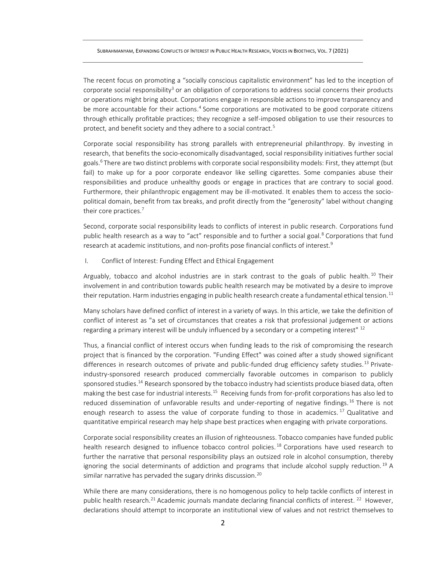The recent focus on promoting a "socially conscious capitalistic environment" has led to the inception of corporate social responsibility<sup>3</sup> or an obligation of corporations to address social concerns their products or operations might bring about. Corporations engage in responsible actions to improve transparency and be more accountable for their actions.<sup>4</sup> Some corporations are motivated to be good corporate citizens through ethically profitable practices; they recognize a self-imposed obligation to use their resources to protect, and benefit society and they adhere to a social contract.<sup>5</sup>

Corporate social responsibility has strong parallels with entrepreneurial philanthropy. By investing in research, that benefits the socio-economically disadvantaged, social responsibility initiatives further social goals.<sup>6</sup> There are two distinct problems with corporate social responsibility models: First, they attempt (but fail) to make up for a poor corporate endeavor like selling cigarettes. Some companies abuse their responsibilities and produce unhealthy goods or engage in practices that are contrary to social good. Furthermore, their philanthropic engagement may be ill-motivated. It enables them to access the sociopolitical domain, benefit from tax breaks, and profit directly from the "generosity" label without changing their core practices. 7

Second, corporate social responsibility leads to conflicts of interest in public research. Corporations fund public health research as a way to "act" responsible and to further a social goal.<sup>8</sup> Corporations that fund research at academic institutions, and non-profits pose financial conflicts of interest.<sup>9</sup>

I. Conflict of Interest: Funding Effect and Ethical Engagement

Arguably, tobacco and alcohol industries are in stark contrast to the goals of public health.<sup>10</sup> Their involvement in and contribution towards public health research may be motivated by a desire to improve their reputation. Harm industries engaging in public health research create a fundamental ethical tension.<sup>11</sup>

Many scholars have defined conflict of interest in a variety of ways. In this article, we take the definition of conflict of interest as "a set of circumstances that creates a risk that professional judgement or actions regarding a primary interest will be unduly influenced by a secondary or a competing interest"  $^{12}$ 

Thus, a financial conflict of interest occurs when funding leads to the risk of compromising the research project that is financed by the corporation. "Funding Effect" was coined after a study showed significant differences in research outcomes of private and public-funded drug efficiency safety studies.<sup>13</sup> Privateindustry-sponsored research produced commercially favorable outcomes in comparison to publicly sponsored studies.<sup>14</sup> Research sponsored by the tobacco industry had scientists produce biased data, often making the best case for industrial interests.<sup>15</sup> Receiving funds from for-profit corporations has also led to reduced dissemination of unfavorable results and under-reporting of negative findings.<sup>16</sup> There is not enough research to assess the value of corporate funding to those in academics.<sup>17</sup> Qualitative and quantitative empirical research may help shape best practices when engaging with private corporations.

Corporate social responsibility creates an illusion of righteousness. Tobacco companies have funded public health research designed to influence tobacco control policies.<sup>18</sup> Corporations have used research to further the narrative that personal responsibility plays an outsized role in alcohol consumption, thereby ignoring the social determinants of addiction and programs that include alcohol supply reduction. <sup>19</sup> A similar narrative has pervaded the sugary drinks discussion.<sup>20</sup>

While there are many considerations, there is no homogenous policy to help tackle conflicts of interest in public health research.<sup>21</sup> Academic journals mandate declaring financial conflicts of interest. <sup>22</sup> However, declarations should attempt to incorporate an institutional view of values and not restrict themselves to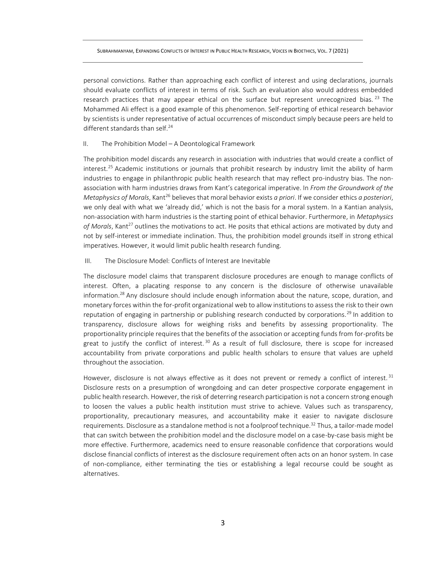personal convictions. Rather than approaching each conflict of interest and using declarations, journals should evaluate conflicts of interest in terms of risk. Such an evaluation also would address embedded research practices that may appear ethical on the surface but represent unrecognized bias.<sup>23</sup> The Mohammed Ali effect is a good example of this phenomenon. Self-reporting of ethical research behavior by scientists is under representative of actual occurrences of misconduct simply because peers are held to different standards than self.<sup>24</sup>

## II. The Prohibition Model – A Deontological Framework

The prohibition model discards any research in association with industries that would create a conflict of interest.<sup>25</sup> Academic institutions or journals that prohibit research by industry limit the ability of harm industries to engage in philanthropic public health research that may reflect pro-industry bias. The nonassociation with harm industries draws from Kant's categorical imperative. In *From the Groundwork of the Metaphysics of Morals*, Kant<sup>26</sup> believes that moral behavior exists *a priori*. If we consider ethics *a posteriori*, we only deal with what we 'already did,' which is not the basis for a moral system. In a Kantian analysis, non-association with harm industries is the starting point of ethical behavior. Furthermore, in *Metaphysics*  of Morals, Kant<sup>27</sup> outlines the motivations to act. He posits that ethical actions are motivated by duty and not by self-interest or immediate inclination. Thus, the prohibition model grounds itself in strong ethical imperatives. However, it would limit public health research funding.

## III. The Disclosure Model: Conflicts of Interest are Inevitable

The disclosure model claims that transparent disclosure procedures are enough to manage conflicts of interest. Often, a placating response to any concern is the disclosure of otherwise unavailable information.<sup>28</sup> Any disclosure should include enough information about the nature, scope, duration, and monetary forces within the for-profit organizational web to allow institutions to assess the risk to their own reputation of engaging in partnership or publishing research conducted by corporations.<sup>29</sup> In addition to transparency, disclosure allows for weighing risks and benefits by assessing proportionality. The proportionality principle requires that the benefits of the association or accepting funds from for-profits be great to justify the conflict of interest. <sup>30</sup> As a result of full disclosure, there is scope for increased accountability from private corporations and public health scholars to ensure that values are upheld throughout the association.

However, disclosure is not always effective as it does not prevent or remedy a conflict of interest.<sup>31</sup> Disclosure rests on a presumption of wrongdoing and can deter prospective corporate engagement in public health research. However, the risk of deterring research participation is not a concern strong enough to loosen the values a public health institution must strive to achieve. Values such as transparency, proportionality, precautionary measures, and accountability make it easier to navigate disclosure requirements. Disclosure as a standalone method is not a foolproof technique.<sup>32</sup> Thus, a tailor-made model that can switch between the prohibition model and the disclosure model on a case-by-case basis might be more effective. Furthermore, academics need to ensure reasonable confidence that corporations would disclose financial conflicts of interest as the disclosure requirement often acts on an honor system. In case of non-compliance, either terminating the ties or establishing a legal recourse could be sought as alternatives.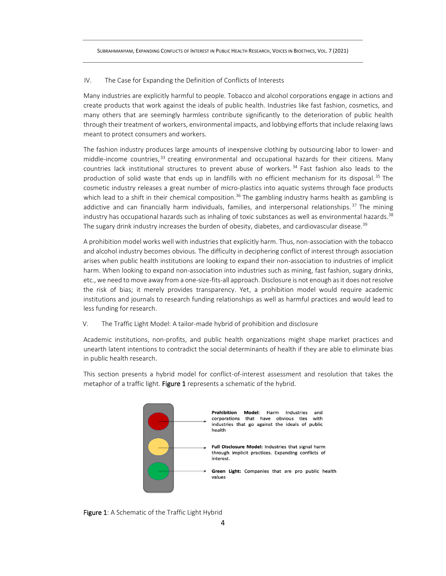## IV. The Case for Expanding the Definition of Conflicts of Interests

Many industries are explicitly harmful to people. Tobacco and alcohol corporations engage in actions and create products that work against the ideals of public health. Industries like fast fashion, cosmetics, and many others that are seemingly harmless contribute significantly to the deterioration of public health through their treatment of workers, environmental impacts, and lobbying efforts that include relaxing laws meant to protect consumers and workers.

The fashion industry produces large amounts of inexpensive clothing by outsourcing labor to lower- and middle-income countries,<sup>33</sup> creating environmental and occupational hazards for their citizens. Many countries lack institutional structures to prevent abuse of workers. <sup>34</sup> Fast fashion also leads to the production of solid waste that ends up in landfills with no efficient mechanism for its disposal.<sup>35</sup> The cosmetic industry releases a great number of micro-plastics into aquatic systems through face products which lead to a shift in their chemical composition.<sup>36</sup> The gambling industry harms health as gambling is addictive and can financially harm individuals, families, and interpersonal relationships.<sup>37</sup> The mining industry has occupational hazards such as inhaling of toxic substances as well as environmental hazards.<sup>38</sup> The sugary drink industry increases the burden of obesity, diabetes, and cardiovascular disease.<sup>39</sup>

A prohibition model works well with industries that explicitly harm. Thus, non-association with the tobacco and alcohol industry becomes obvious. The difficulty in deciphering conflict of interest through association arises when public health institutions are looking to expand their non-association to industries of implicit harm. When looking to expand non-association into industries such as mining, fast fashion, sugary drinks, etc., we need to move away from a one-size-fits-all approach. Disclosure is not enough as it does not resolve the risk of bias; it merely provides transparency. Yet, a prohibition model would require academic institutions and journals to research funding relationships as well as harmful practices and would lead to less funding for research.

V. The Traffic Light Model: A tailor-made hybrid of prohibition and disclosure

Academic institutions, non-profits, and public health organizations might shape market practices and unearth latent intentions to contradict the social determinants of health if they are able to eliminate bias in public health research.

This section presents a hybrid model for conflict-of-interest assessment and resolution that takes the metaphor of a traffic light. Figure 1 represents a schematic of the hybrid.



Figure 1: A Schematic of the Traffic Light Hybrid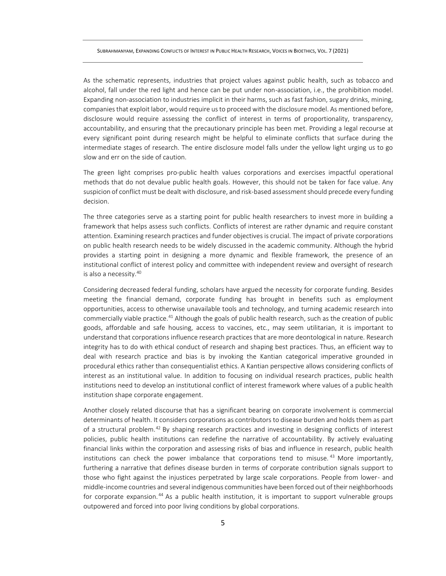As the schematic represents, industries that project values against public health, such as tobacco and alcohol, fall under the red light and hence can be put under non-association, i.e., the prohibition model. Expanding non-association to industries implicit in their harms, such as fast fashion, sugary drinks, mining, companies that exploit labor, would require us to proceed with the disclosure model. As mentioned before, disclosure would require assessing the conflict of interest in terms of proportionality, transparency, accountability, and ensuring that the precautionary principle has been met. Providing a legal recourse at every significant point during research might be helpful to eliminate conflicts that surface during the intermediate stages of research. The entire disclosure model falls under the yellow light urging us to go slow and err on the side of caution.

The green light comprises pro-public health values corporations and exercises impactful operational methods that do not devalue public health goals. However, this should not be taken for face value. Any suspicion of conflict must be dealt with disclosure, and risk-based assessment should precede every funding decision.

The three categories serve as a starting point for public health researchers to invest more in building a framework that helps assess such conflicts. Conflicts of interest are rather dynamic and require constant attention. Examining research practices and funder objectives is crucial. The impact of private corporations on public health research needs to be widely discussed in the academic community. Although the hybrid provides a starting point in designing a more dynamic and flexible framework, the presence of an institutional conflict of interest policy and committee with independent review and oversight of research is also a necessity.<sup>40</sup>

Considering decreased federal funding, scholars have argued the necessity for corporate funding. Besides meeting the financial demand, corporate funding has brought in benefits such as employment opportunities, access to otherwise unavailable tools and technology, and turning academic research into commercially viable practice.<sup>41</sup> Although the goals of public health research, such as the creation of public goods, affordable and safe housing, access to vaccines, etc., may seem utilitarian, it is important to understand that corporations influence research practices that are more deontological in nature. Research integrity has to do with ethical conduct of research and shaping best practices. Thus, an efficient way to deal with research practice and bias is by invoking the Kantian categorical imperative grounded in procedural ethics rather than consequentialist ethics. A Kantian perspective allows considering conflicts of interest as an institutional value. In addition to focusing on individual research practices, public health institutions need to develop an institutional conflict of interest framework where values of a public health institution shape corporate engagement.

Another closely related discourse that has a significant bearing on corporate involvement is commercial determinants of health. It considers corporations as contributors to disease burden and holds them as part of a structural problem.<sup>42</sup> By shaping research practices and investing in designing conflicts of interest policies, public health institutions can redefine the narrative of accountability. By actively evaluating financial links within the corporation and assessing risks of bias and influence in research, public health institutions can check the power imbalance that corporations tend to misuse. <sup>43</sup> More importantly, furthering a narrative that defines disease burden in terms of corporate contribution signals support to those who fight against the injustices perpetrated by large scale corporations. People from lower- and middle-income countries and several indigenous communities have been forced out of their neighborhoods for corporate expansion.<sup>44</sup> As a public health institution, it is important to support vulnerable groups outpowered and forced into poor living conditions by global corporations.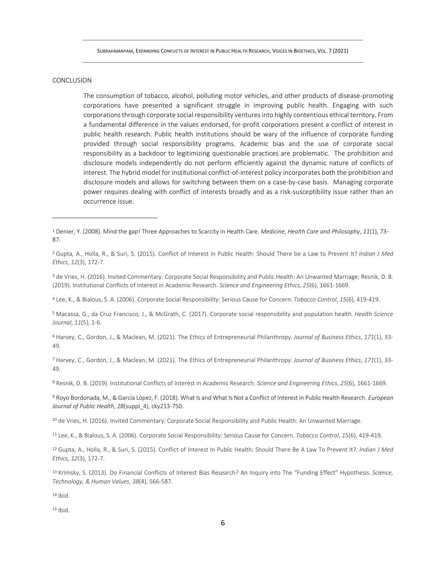## CONCLUSION

The consumption of tobacco, alcohol, polluting motor vehicles, and other products of disease-promoting corporations have presented a significant struggle in improving public health. Engaging with such corporations through corporate social responsibility ventures into highly contentious ethical territory. From a fundamental difference in the values endorsed, for-profit corporations present a conflict of interest in public health research. Public health institutions should be wary of the influence of corporate funding provided through social responsibility programs. Academic bias and the use of corporate social responsibility as a backdoor to legitimizing questionable practices are problematic. The prohibition and disclosure models independently do not perform efficiently against the dynamic nature of conflicts of interest. The hybrid model for institutional conflict-of-interest policy incorporates both the prohibition and disclosure models and allows for switching between them on a case-by-case basis. Managing corporate power requires dealing with conflict of interests broadly and as a risk-susceptibility issue rather than an occurrence issue.

<sup>3</sup> de Vries, H. (2016). Invited Commentary: Corporate Social Responsibility and Public Health: An Unwanted Marriage; Resnik, D. B. (2019). Institutional Conflicts of Interest in Academic Research. *Science and Engineering Ethics*, *25*(6), 1661-1669.

<sup>4</sup> Lee, K., & Bialous, S. A. (2006). Corporate Social Responsibility: Serious Cause for Concern. *Tobacco Control*, *15*(6), 419-419.

<sup>5</sup> Macassa, G., da Cruz Francisco, J., & McGrath, C. (2017). Corporate social responsibility and population health. *Health Science Journal*, *11*(5), 1-6.

<sup>6</sup> Harvey, C., Gordon, J., & Maclean, M. (2021). The Ethics of Entrepreneurial Philanthropy. *Journal of Business Ethics*, *171*(1), 33- 49.

<sup>7</sup> Harvey, C., Gordon, J., & Maclean, M. (2021). The Ethics of Entrepreneurial Philanthropy. *Journal of Business Ethics*, *171*(1), 33- 49.

<sup>8</sup> Resnik, D. B. (2019). Institutional Conflicts of Interest in Academic Research. *Science and Engineering Ethics*, *25*(6), 1661-1669.

<sup>9</sup> Royo Bordonada, M., & García López, F. (2018). What Is and What Is Not a Conflict of Interest in Public Health Research. *European Journal of Public Health*, *28*(suppl\_4), cky213-750.

<sup>10</sup> de Vries, H. (2016). Invited Commentary: Corporate Social Responsibility and Public Health: An Unwanted Marriage.

<sup>11</sup> Lee, K., & Bialous, S. A. (2006). Corporate Social Responsibility: Serious Cause for Concern. *Tobacco Control*, *15*(6), 419-419.

<sup>12</sup> Gupta, A., Holla, R., & Suri, S. (2015). Conflict of Interest In Public Health: Should There Be A Law To Prevent It?. *Indian J Med Ethics*, *12*(3), 172-7.

<sup>13</sup> Krimsky, S. (2013). Do Financial Conflicts of Interest Bias Research? An Inquiry into The "Funding Effect" Hypothesis. *Science, Technology, & Human Values*, *38*(4), 566-587.

 $14$  Ibid.

 $15$  Ibid.

<sup>1</sup> Denier, Y. (2008). Mind the gap! Three Approaches to Scarcity in Health Care. *Medicine, Health Care and Philosophy*, *11*(1), 73- 87.

<sup>2</sup> Gupta, A., Holla, R., & Suri, S. (2015). Conflict of Interest in Public Health: Should There be a Law to Prevent It? *Indian J Med Ethics*, *12*(3), 172-7.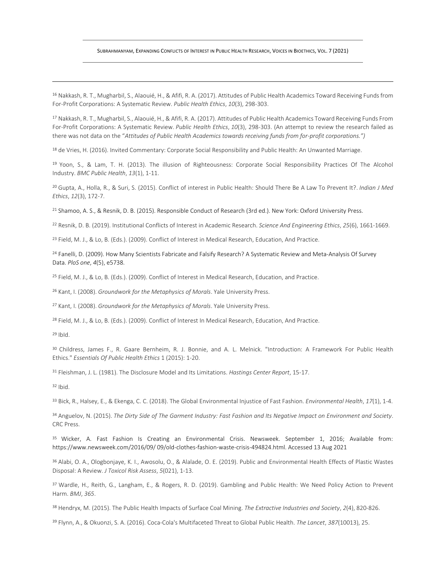<sup>16</sup> Nakkash, R. T., Mugharbil, S., Alaouié, H., & Afifi, R. A. (2017). Attitudes of Public Health Academics Toward Receiving Funds from For-Profit Corporations: A Systematic Review. *Public Health Ethics*, *10*(3), 298-303.

<sup>17</sup> Nakkash, R. T., Mugharbil, S., Alaouié, H., & Afifi, R. A. (2017). Attitudes of Public Health Academics Toward Receiving Funds From For-Profit Corporations: A Systematic Review. *Public Health Ethics*, *10*(3), 298-303. (An attempt to review the research failed as there was not data on the "*Attitudes of Public Health Academics towards receiving funds from for-profit corporations.")*

<sup>18</sup> de Vries, H. (2016). Invited Commentary: Corporate Social Responsibility and Public Health: An Unwanted Marriage.

<sup>19</sup> Yoon, S., & Lam, T. H. (2013). The illusion of Righteousness: Corporate Social Responsibility Practices Of The Alcohol Industry. *BMC Public Health*, *13*(1), 1-11.

<sup>20</sup> Gupta, A., Holla, R., & Suri, S. (2015). Conflict of interest in Public Health: Should There Be A Law To Prevent It?. *Indian J Med Ethics*, *12*(3), 172-7.

<sup>21</sup> Shamoo, A. S., & Resnik, D. B. (2015). Responsible Conduct of Research (3rd ed.). New York: Oxford University Press.

<sup>22</sup> Resnik, D. B. (2019). Institutional Conflicts of Interest in Academic Research. *Science And Engineering Ethics*, *25*(6), 1661-1669.

<sup>23</sup> Field, M. J., & Lo, B. (Eds.). (2009). Conflict of Interest in Medical Research, Education, And Practice.

<sup>24</sup> Fanelli, D. (2009). How Many Scientists Fabricate and Falsify Research? A Systematic Review and Meta-Analysis Of Survey Data. *PloS one*, *4*(5), e5738.

<sup>25</sup> Field, M. J., & Lo, B. (Eds.). (2009). Conflict of Interest in Medical Research, Education, and Practice.

<sup>26</sup> Kant, I. (2008). *Groundwork for the Metaphysics of Morals*. Yale University Press.

<sup>27</sup> Kant, I. (2008). *Groundwork for the Metaphysics of Morals*. Yale University Press.

<sup>28</sup> Field, M. J., & Lo, B. (Eds.). (2009). Conflict of Interest In Medical Research, Education, And Practice.

<sup>29</sup> IbId.

<sup>30</sup> Childress, James F., R. Gaare Bernheim, R. J. Bonnie, and A. L. Melnick. "Introduction: A Framework For Public Health Ethics." *Essentials Of Public Health Ethics* 1 (2015): 1-20.

<sup>31</sup> Fleishman, J. L. (1981). The Disclosure Model and Its Limitations. *Hastings Center Report*, 15-17.

<sup>32</sup> Ibid.

<sup>33</sup> Bick, R., Halsey, E., & Ekenga, C. C. (2018). The Global Environmental Injustice of Fast Fashion. *Environmental Health*, *17*(1), 1-4.

<sup>34</sup> Anguelov, N. (2015). *The Dirty Side of The Garment Industry: Fast Fashion and Its Negative Impact on Environment and Society*. CRC Press.

<sup>35</sup> Wicker, A. Fast Fashion Is Creating an Environmental Crisis. Newsweek. September 1, 2016; Available from: https://www.newsweek.com/2016/09/ 09/old-clothes-fashion-waste-crisis-494824.html. Accessed 13 Aug 2021

<sup>36</sup> Alabi, O. A., Ologbonjaye, K. I., Awosolu, O., & Alalade, O. E. (2019). Public and Environmental Health Effects of Plastic Wastes Disposal: A Review. *J Toxicol Risk Assess*, *5*(021), 1-13.

<sup>37</sup> Wardle, H., Reith, G., Langham, E., & Rogers, R. D. (2019). Gambling and Public Health: We Need Policy Action to Prevent Harm. *BMJ*, *365*.

<sup>38</sup> Hendryx, M. (2015). The Public Health Impacts of Surface Coal Mining. *The Extractive Industries and Society*, *2*(4), 820-826.

7 <sup>39</sup> Flynn, A., & Okuonzi, S. A. (2016). Coca-Cola's Multifaceted Threat to Global Public Health. *The Lancet*, *387*(10013), 25.